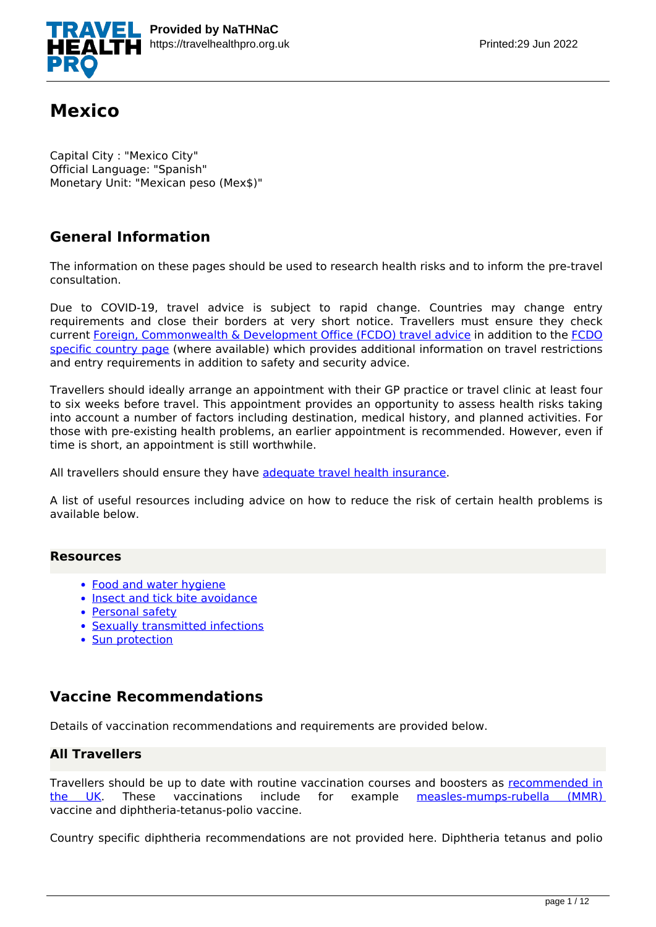

# **Mexico**

Capital City : "Mexico City" Official Language: "Spanish" Monetary Unit: "Mexican peso (Mex\$)"

# **General Information**

The information on these pages should be used to research health risks and to inform the pre-travel consultation.

Due to COVID-19, travel advice is subject to rapid change. Countries may change entry requirements and close their borders at very short notice. Travellers must ensure they check current [Foreign, Commonwealth & Development Office \(FCDO\) travel advice](https://www.gov.uk/guidance/travel-advice-novel-coronavirus) in addition to the [FCDO](https://www.gov.uk/foreign-travel-advice) [specific country page](https://www.gov.uk/foreign-travel-advice) (where available) which provides additional information on travel restrictions and entry requirements in addition to safety and security advice.

Travellers should ideally arrange an appointment with their GP practice or travel clinic at least four to six weeks before travel. This appointment provides an opportunity to assess health risks taking into account a number of factors including destination, medical history, and planned activities. For those with pre-existing health problems, an earlier appointment is recommended. However, even if time is short, an appointment is still worthwhile.

All travellers should ensure they have [adequate travel health insurance](https://www.gov.uk/foreign-travel-insurance).

A list of useful resources including advice on how to reduce the risk of certain health problems is available below.

## **Resources**

- [Food and water hygiene](https://travelhealthpro.org.uk/factsheet/44/food-and-water-hygiene)
- [Insect and tick bite avoidance](https://travelhealthpro.org.uk/factsheet/38/insect-and-tick-bite-avoidance)
- [Personal safety](https://travelhealthpro.org.uk/factsheet/25/personal-safety)
- [Sexually transmitted infections](https://travelhealthpro.org.uk/factsheet/15/sexually-transmitted-infections)
- [Sun protection](https://travelhealthpro.org.uk/factsheet/23/sun-protection)

## **Vaccine Recommendations**

Details of vaccination recommendations and requirements are provided below.

## **All Travellers**

Travellers should be up to date with routine vaccination courses and boosters as [recommended in](https://www.gov.uk/government/publications/the-complete-routine-immunisation-schedule) [the UK.](https://www.gov.uk/government/publications/the-complete-routine-immunisation-schedule) These vaccinations include for example [measles-mumps-rubella \(MMR\)](http://travelhealthpro.org.uk/disease/116/measles) vaccine and diphtheria-tetanus-polio vaccine.

Country specific diphtheria recommendations are not provided here. Diphtheria tetanus and polio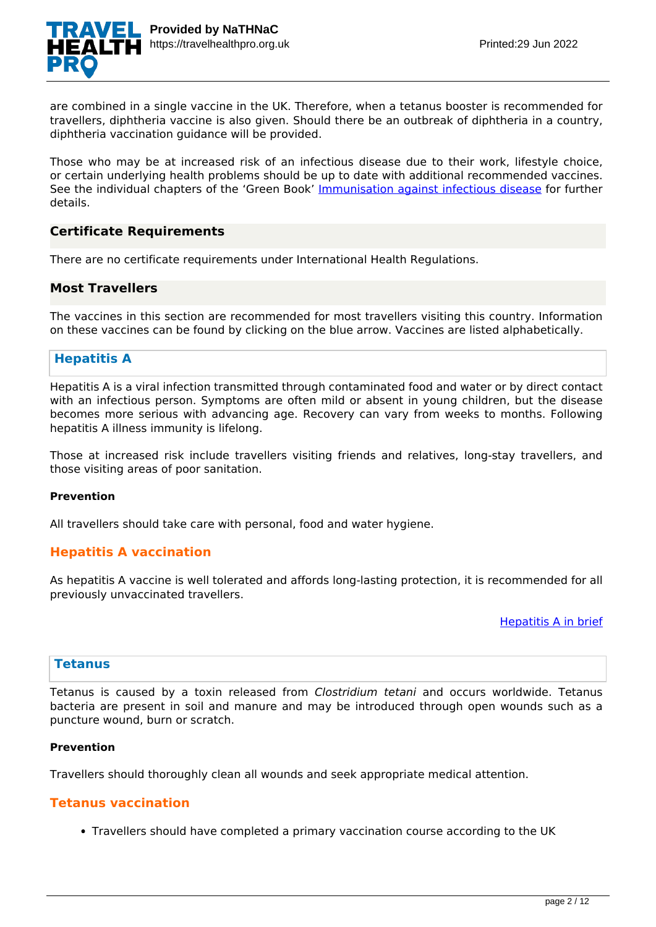

are combined in a single vaccine in the UK. Therefore, when a tetanus booster is recommended for travellers, diphtheria vaccine is also given. Should there be an outbreak of diphtheria in a country, diphtheria vaccination guidance will be provided.

Those who may be at increased risk of an infectious disease due to their work, lifestyle choice, or certain underlying health problems should be up to date with additional recommended vaccines. See the individual chapters of the 'Green Book' [Immunisation against infectious disease](https://www.gov.uk/government/collections/immunisation-against-infectious-disease-the-green-book) for further details.

## **Certificate Requirements**

There are no certificate requirements under International Health Regulations.

### **Most Travellers**

The vaccines in this section are recommended for most travellers visiting this country. Information on these vaccines can be found by clicking on the blue arrow. Vaccines are listed alphabetically.

## **Hepatitis A**

Hepatitis A is a viral infection transmitted through contaminated food and water or by direct contact with an infectious person. Symptoms are often mild or absent in young children, but the disease becomes more serious with advancing age. Recovery can vary from weeks to months. Following hepatitis A illness immunity is lifelong.

Those at increased risk include travellers visiting friends and relatives, long-stay travellers, and those visiting areas of poor sanitation.

#### **Prevention**

All travellers should take care with personal, food and water hygiene.

## **Hepatitis A vaccination**

As hepatitis A vaccine is well tolerated and affords long-lasting protection, it is recommended for all previously unvaccinated travellers.

#### [Hepatitis A in brief](https://travelhealthpro.org.uk/disease/70/hepatitis-a)

## **Tetanus**

Tetanus is caused by a toxin released from *Clostridium tetani* and occurs worldwide. Tetanus bacteria are present in soil and manure and may be introduced through open wounds such as a puncture wound, burn or scratch.

#### **Prevention**

Travellers should thoroughly clean all wounds and seek appropriate medical attention.

## **Tetanus vaccination**

Travellers should have completed a primary vaccination course according to the UK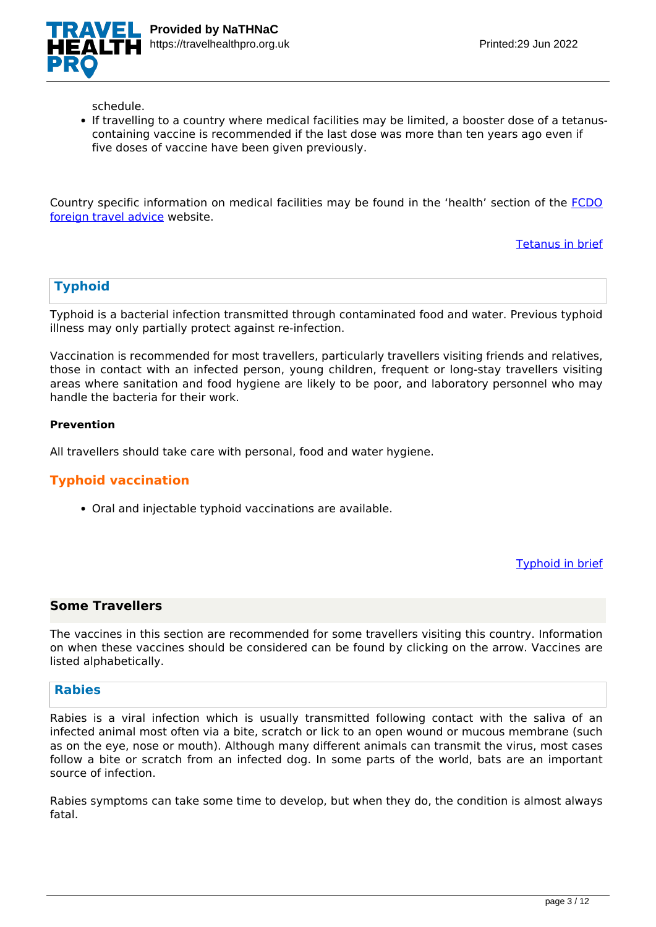

schedule.

If travelling to a country where medical facilities may be limited, a booster dose of a tetanuscontaining vaccine is recommended if the last dose was more than ten years ago even if five doses of vaccine have been given previously.

Country specific information on medical facilities may be found in the 'health' section of the [FCDO](https://www.gov.uk/foreign-travel-advice/mexico) [foreign travel advice](https://www.gov.uk/foreign-travel-advice/mexico) website.

[Tetanus in brief](https://travelhealthpro.org.uk/disease/168/tetanus)

## **Typhoid**

Typhoid is a bacterial infection transmitted through contaminated food and water. Previous typhoid illness may only partially protect against re-infection.

Vaccination is recommended for most travellers, particularly travellers visiting friends and relatives, those in contact with an infected person, young children, frequent or long-stay travellers visiting areas where sanitation and food hygiene are likely to be poor, and laboratory personnel who may handle the bacteria for their work.

### **Prevention**

All travellers should take care with personal, food and water hygiene.

## **Typhoid vaccination**

Oral and injectable typhoid vaccinations are available.

[Typhoid in brief](https://travelhealthpro.org.uk/disease/184/typhoid-fever)

## **Some Travellers**

The vaccines in this section are recommended for some travellers visiting this country. Information on when these vaccines should be considered can be found by clicking on the arrow. Vaccines are listed alphabetically.

#### **Rabies**

Rabies is a viral infection which is usually transmitted following contact with the saliva of an infected animal most often via a bite, scratch or lick to an open wound or mucous membrane (such as on the eye, nose or mouth). Although many different animals can transmit the virus, most cases follow a bite or scratch from an infected dog. In some parts of the world, bats are an important source of infection.

Rabies symptoms can take some time to develop, but when they do, the condition is almost always fatal.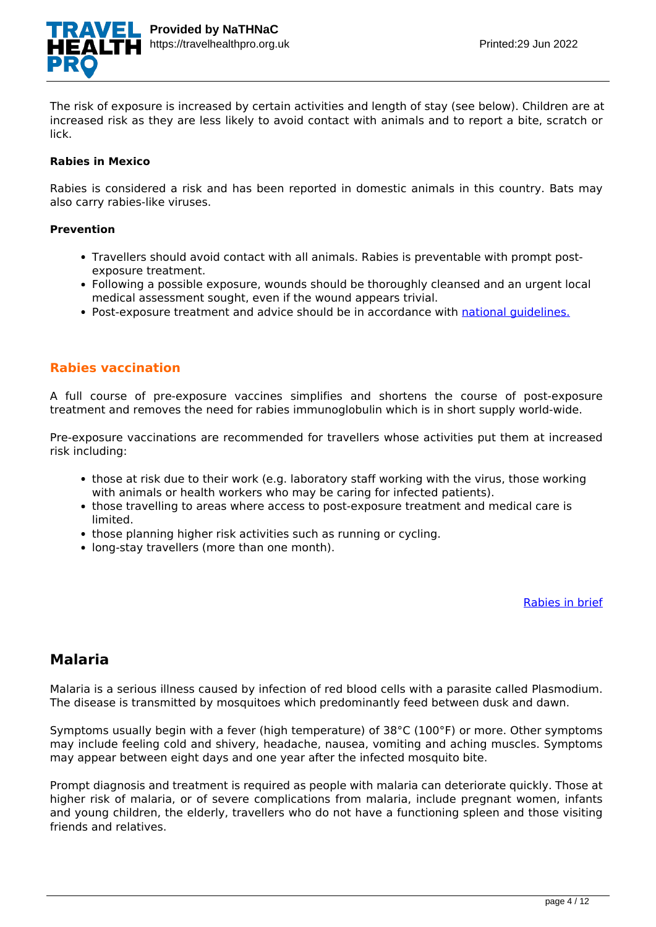

The risk of exposure is increased by certain activities and length of stay (see below). Children are at increased risk as they are less likely to avoid contact with animals and to report a bite, scratch or lick.

#### **Rabies in Mexico**

Rabies is considered a risk and has been reported in domestic animals in this country. Bats may also carry rabies-like viruses.

#### **Prevention**

- Travellers should avoid contact with all animals. Rabies is preventable with prompt postexposure treatment.
- Following a possible exposure, wounds should be thoroughly cleansed and an urgent local medical assessment sought, even if the wound appears trivial.
- Post-exposure treatment and advice should be in accordance with national quidelines.

## **Rabies vaccination**

A full course of pre-exposure vaccines simplifies and shortens the course of post-exposure treatment and removes the need for rabies immunoglobulin which is in short supply world-wide.

Pre-exposure vaccinations are recommended for travellers whose activities put them at increased risk including:

- those at risk due to their work (e.g. laboratory staff working with the virus, those working with animals or health workers who may be caring for infected patients).
- those travelling to areas where access to post-exposure treatment and medical care is limited.
- those planning higher risk activities such as running or cycling.
- long-stay travellers (more than one month).

#### [Rabies in brief](https://travelhealthpro.org.uk/disease/148/rabies)

## **Malaria**

Malaria is a serious illness caused by infection of red blood cells with a parasite called Plasmodium. The disease is transmitted by mosquitoes which predominantly feed between dusk and dawn.

Symptoms usually begin with a fever (high temperature) of 38°C (100°F) or more. Other symptoms may include feeling cold and shivery, headache, nausea, vomiting and aching muscles. Symptoms may appear between eight days and one year after the infected mosquito bite.

Prompt diagnosis and treatment is required as people with malaria can deteriorate quickly. Those at higher risk of malaria, or of severe complications from malaria, include pregnant women, infants and young children, the elderly, travellers who do not have a functioning spleen and those visiting friends and relatives.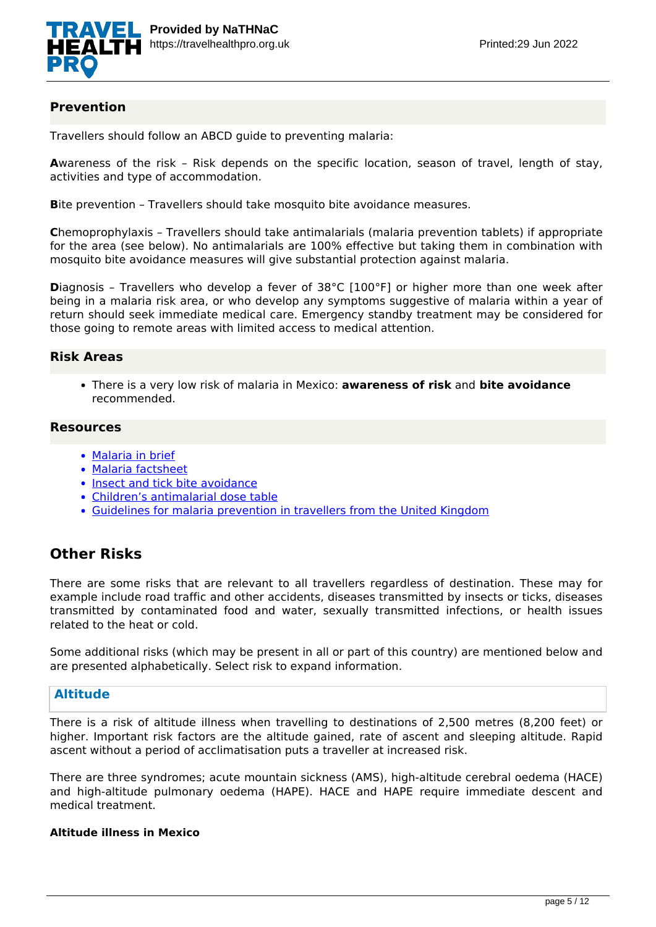

## **Prevention**

Travellers should follow an ABCD guide to preventing malaria:

**A**wareness of the risk – Risk depends on the specific location, season of travel, length of stay, activities and type of accommodation.

**B**ite prevention – Travellers should take mosquito bite avoidance measures.

**C**hemoprophylaxis – Travellers should take antimalarials (malaria prevention tablets) if appropriate for the area (see below). No antimalarials are 100% effective but taking them in combination with mosquito bite avoidance measures will give substantial protection against malaria.

**D**iagnosis – Travellers who develop a fever of 38°C [100°F] or higher more than one week after being in a malaria risk area, or who develop any symptoms suggestive of malaria within a year of return should seek immediate medical care. Emergency standby treatment may be considered for those going to remote areas with limited access to medical attention.

## **Risk Areas**

There is a very low risk of malaria in Mexico: **awareness of risk** and **bite avoidance** recommended.

## **Resources**

- [Malaria in brief](https://travelhealthpro.org.uk/disease/113/malaria)
- [Malaria factsheet](https://travelhealthpro.org.uk/factsheet/52/malaria)
- [Insect and tick bite avoidance](https://travelhealthpro.org.uk/factsheet/38/insect-and-tick-bite-avoidance)
- [Children's antimalarial dose table](https://travelhealthpro.org.uk/admin/web/uploads/Childrens-antimalarial-dosage-tables.pdf)
- [Guidelines for malaria prevention in travellers from the United Kingdom](https://www.gov.uk/government/publications/malaria-prevention-guidelines-for-travellers-from-the-uk)

## **Other Risks**

There are some risks that are relevant to all travellers regardless of destination. These may for example include road traffic and other accidents, diseases transmitted by insects or ticks, diseases transmitted by contaminated food and water, sexually transmitted infections, or health issues related to the heat or cold.

Some additional risks (which may be present in all or part of this country) are mentioned below and are presented alphabetically. Select risk to expand information.

## **Altitude**

There is a risk of altitude illness when travelling to destinations of 2,500 metres (8,200 feet) or higher. Important risk factors are the altitude gained, rate of ascent and sleeping altitude. Rapid ascent without a period of acclimatisation puts a traveller at increased risk.

There are three syndromes; acute mountain sickness (AMS), high-altitude cerebral oedema (HACE) and high-altitude pulmonary oedema (HAPE). HACE and HAPE require immediate descent and medical treatment.

## **Altitude illness in Mexico**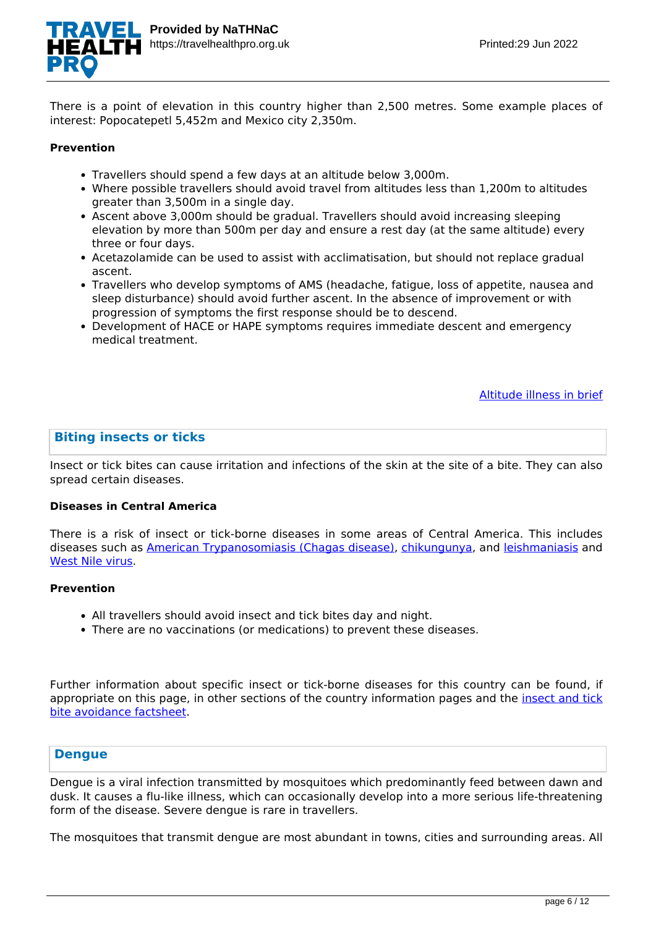

There is a point of elevation in this country higher than 2,500 metres. Some example places of interest: Popocatepetl 5,452m and Mexico city 2,350m.

#### **Prevention**

- Travellers should spend a few days at an altitude below 3,000m.
- Where possible travellers should avoid travel from altitudes less than 1,200m to altitudes greater than 3,500m in a single day.
- Ascent above 3,000m should be gradual. Travellers should avoid increasing sleeping elevation by more than 500m per day and ensure a rest day (at the same altitude) every three or four days.
- Acetazolamide can be used to assist with acclimatisation, but should not replace gradual ascent.
- Travellers who develop symptoms of AMS (headache, fatigue, loss of appetite, nausea and sleep disturbance) should avoid further ascent. In the absence of improvement or with progression of symptoms the first response should be to descend.
- Development of HACE or HAPE symptoms requires immediate descent and emergency medical treatment.

#### [Altitude illness in brief](https://travelhealthpro.org.uk/disease/12/altitude-illness)

### **Biting insects or ticks**

Insect or tick bites can cause irritation and infections of the skin at the site of a bite. They can also spread certain diseases.

#### **Diseases in Central America**

There is a risk of insect or tick-borne diseases in some areas of Central America. This includes diseases such as [American Trypanosomiasis \(Chagas disease\)](https://travelhealthpro.org.uk/disease/214/trypanosomiasis), [chikungunya,](https://travelhealthpro.org.uk/factsheet/27/chikungunya) and [leishmaniasis](https://travelhealthpro.org.uk/disease/103/leishmaniasis) and [West Nile virus](https://travelhealthpro.org.uk/factsheet/47/west-nile-virus).

#### **Prevention**

- All travellers should avoid insect and tick bites day and night.
- There are no vaccinations (or medications) to prevent these diseases.

Further information about specific insect or tick-borne diseases for this country can be found, if appropriate on this page, in other sections of the country information pages and the [insect and tick](https://travelhealthpro.org.uk/factsheet/38/insect-and-tick-bite-avoidance) [bite avoidance factsheet](https://travelhealthpro.org.uk/factsheet/38/insect-and-tick-bite-avoidance).

## **Dengue**

Dengue is a viral infection transmitted by mosquitoes which predominantly feed between dawn and dusk. It causes a flu-like illness, which can occasionally develop into a more serious life-threatening form of the disease. Severe dengue is rare in travellers.

The mosquitoes that transmit dengue are most abundant in towns, cities and surrounding areas. All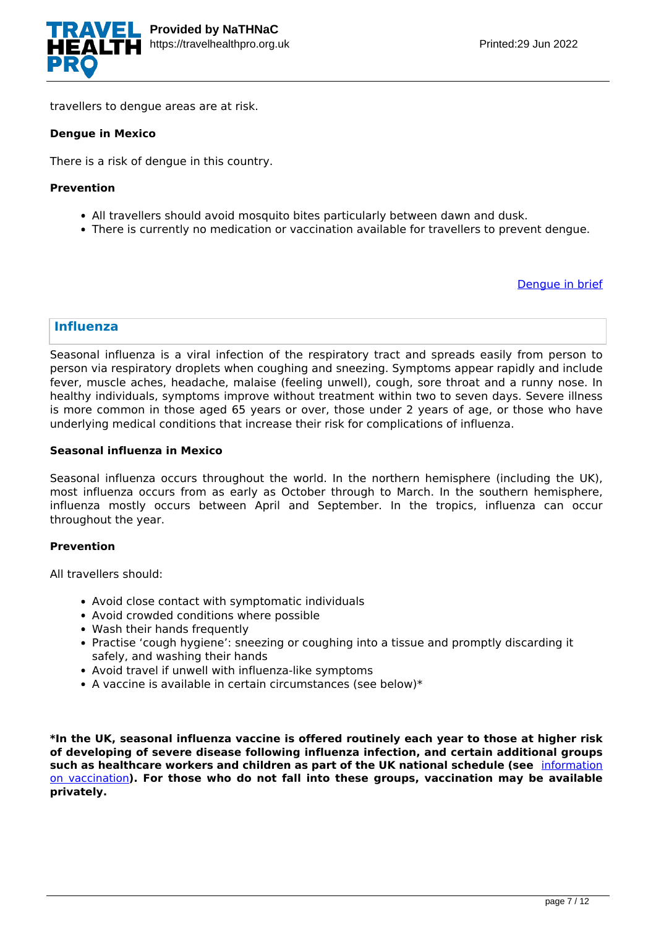

travellers to dengue areas are at risk.

#### **Dengue in Mexico**

There is a risk of dengue in this country.

#### **Prevention**

- All travellers should avoid mosquito bites particularly between dawn and dusk.
- There is currently no medication or vaccination available for travellers to prevent dengue.

[Dengue in brief](https://travelhealthpro.org.uk/disease/42/dengue)

## **Influenza**

Seasonal influenza is a viral infection of the respiratory tract and spreads easily from person to person via respiratory droplets when coughing and sneezing. Symptoms appear rapidly and include fever, muscle aches, headache, malaise (feeling unwell), cough, sore throat and a runny nose. In healthy individuals, symptoms improve without treatment within two to seven days. Severe illness is more common in those aged 65 years or over, those under 2 years of age, or those who have underlying medical conditions that increase their risk for complications of influenza.

#### **Seasonal influenza in Mexico**

Seasonal influenza occurs throughout the world. In the northern hemisphere (including the UK), most influenza occurs from as early as October through to March. In the southern hemisphere, influenza mostly occurs between April and September. In the tropics, influenza can occur throughout the year.

#### **Prevention**

All travellers should:

- Avoid close contact with symptomatic individuals
- Avoid crowded conditions where possible
- Wash their hands frequently
- Practise 'cough hygiene': sneezing or coughing into a tissue and promptly discarding it safely, and washing their hands
- Avoid travel if unwell with influenza-like symptoms
- $\bullet$  A vaccine is available in certain circumstances (see below)\*

**\*In the UK, seasonal influenza vaccine is offered routinely each year to those at higher risk of developing of severe disease following influenza infection, and certain additional groups such as healthcare workers and children as part of the UK national schedule (see** [information](https://www.gov.uk/government/publications/influenza-the-green-book-chapter-19) [on vaccination](https://www.gov.uk/government/publications/influenza-the-green-book-chapter-19)**). For those who do not fall into these groups, vaccination may be available privately.**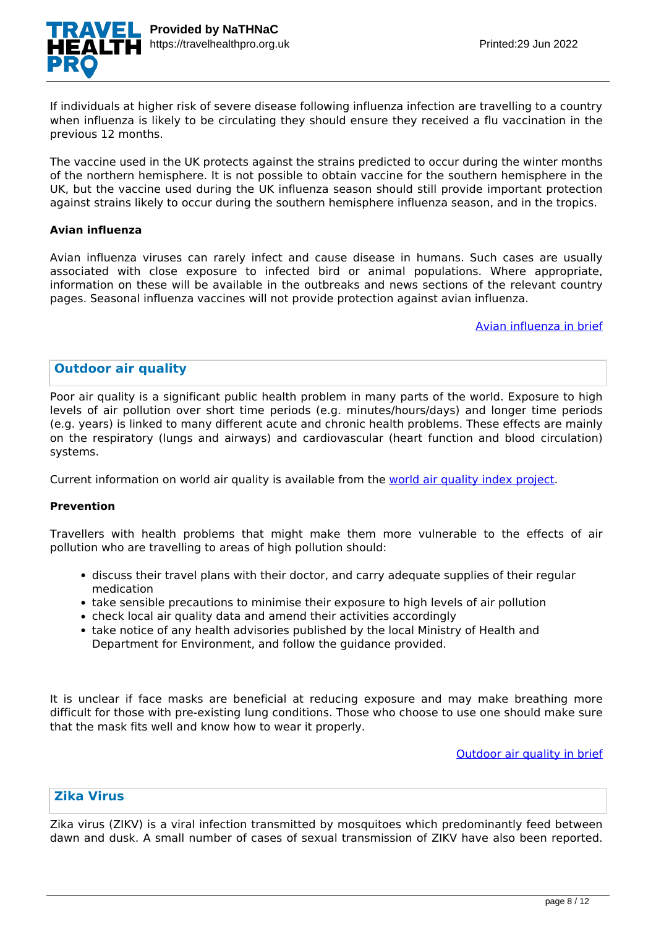

If individuals at higher risk of severe disease following influenza infection are travelling to a country when influenza is likely to be circulating they should ensure they received a flu vaccination in the previous 12 months.

The vaccine used in the UK protects against the strains predicted to occur during the winter months of the northern hemisphere. It is not possible to obtain vaccine for the southern hemisphere in the UK, but the vaccine used during the UK influenza season should still provide important protection against strains likely to occur during the southern hemisphere influenza season, and in the tropics.

#### **Avian influenza**

Avian influenza viruses can rarely infect and cause disease in humans. Such cases are usually associated with close exposure to infected bird or animal populations. Where appropriate, information on these will be available in the outbreaks and news sections of the relevant country pages. Seasonal influenza vaccines will not provide protection against avian influenza.

[Avian influenza in brief](https://travelhealthpro.org.uk/disease/216/avian-influenza-bird-flu)

## **Outdoor air quality**

Poor air quality is a significant public health problem in many parts of the world. Exposure to high levels of air pollution over short time periods (e.g. minutes/hours/days) and longer time periods (e.g. years) is linked to many different acute and chronic health problems. These effects are mainly on the respiratory (lungs and airways) and cardiovascular (heart function and blood circulation) systems.

Current information on world air quality is available from the [world air quality index project](http://aqicn.org/map/world/).

#### **Prevention**

Travellers with health problems that might make them more vulnerable to the effects of air pollution who are travelling to areas of high pollution should:

- discuss their travel plans with their doctor, and carry adequate supplies of their regular medication
- take sensible precautions to minimise their exposure to high levels of air pollution
- check local air quality data and amend their activities accordingly
- take notice of any health advisories published by the local Ministry of Health and Department for Environment, and follow the guidance provided.

It is unclear if face masks are beneficial at reducing exposure and may make breathing more difficult for those with pre-existing lung conditions. Those who choose to use one should make sure that the mask fits well and know how to wear it properly.

[Outdoor air quality in brief](https://travelhealthpro.org.uk/disease/219/outdoor-air-quality)

## **Zika Virus**

Zika virus (ZIKV) is a viral infection transmitted by mosquitoes which predominantly feed between dawn and dusk. A small number of cases of sexual transmission of ZIKV have also been reported.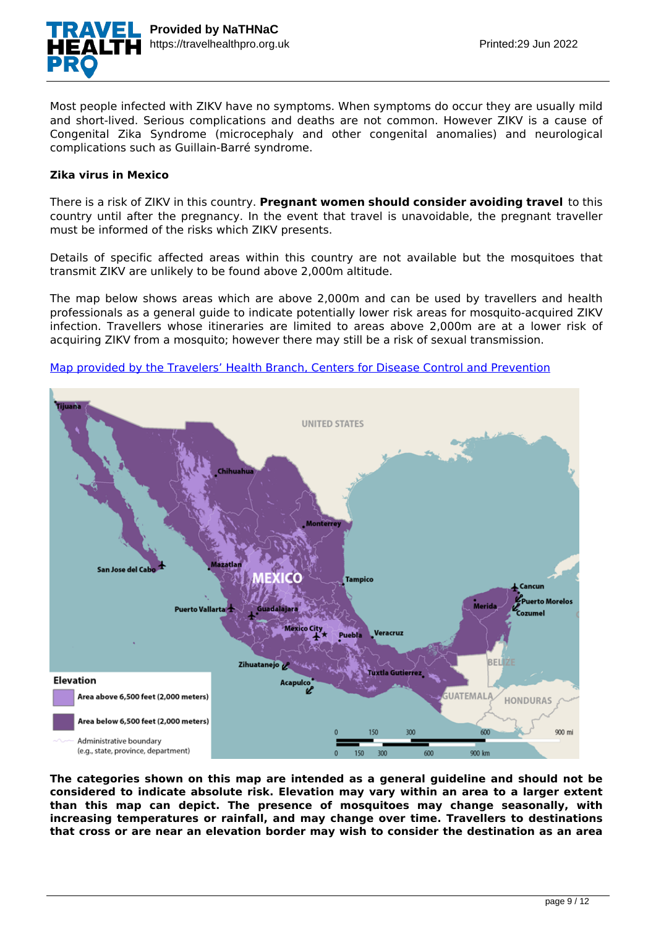

Most people infected with ZIKV have no symptoms. When symptoms do occur they are usually mild and short-lived. Serious complications and deaths are not common. However ZIKV is a cause of Congenital Zika Syndrome (microcephaly and other congenital anomalies) and neurological complications such as Guillain-Barré syndrome.

#### **Zika virus in Mexico**

There is a risk of ZIKV in this country. **Pregnant women should consider avoiding travel** to this country until after the pregnancy. In the event that travel is unavoidable, the pregnant traveller must be informed of the risks which ZIKV presents.

Details of specific affected areas within this country are not available but the mosquitoes that transmit ZIKV are unlikely to be found above 2,000m altitude.

The map below shows areas which are above 2,000m and can be used by travellers and health professionals as a general guide to indicate potentially lower risk areas for mosquito-acquired ZIKV infection. Travellers whose itineraries are limited to areas above 2,000m are at a lower risk of acquiring ZIKV from a mosquito; however there may still be a risk of sexual transmission.





**The categories shown on this map are intended as a general guideline and should not be considered to indicate absolute risk. Elevation may vary within an area to a larger extent than this map can depict. The presence of mosquitoes may change seasonally, with increasing temperatures or rainfall, and may change over time. Travellers to destinations that cross or are near an elevation border may wish to consider the destination as an area**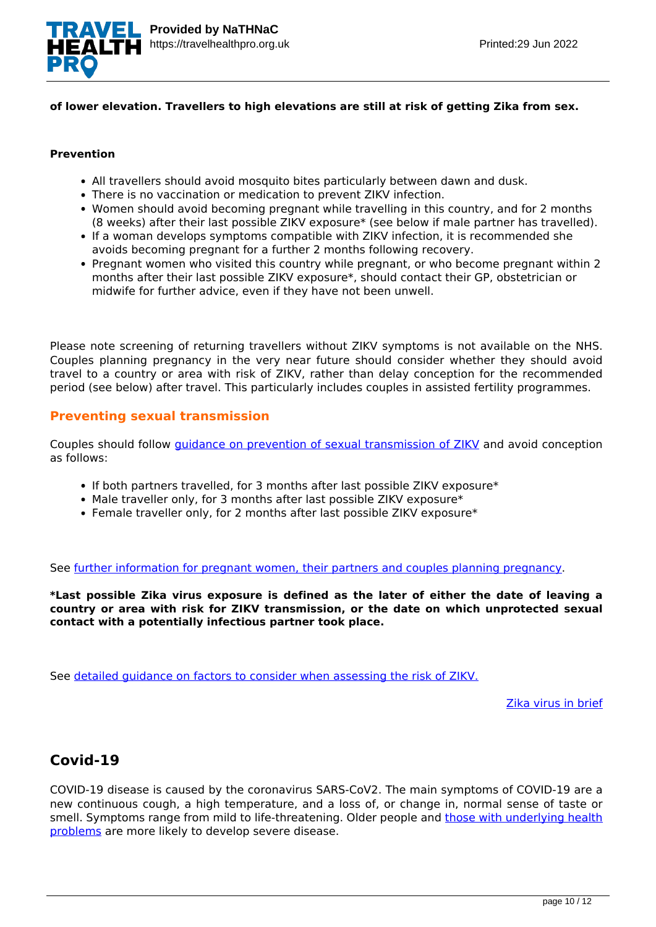

## **of lower elevation. Travellers to high elevations are still at risk of getting Zika from sex.**

## **Prevention**

- All travellers should avoid mosquito bites particularly between dawn and dusk.
- There is no vaccination or medication to prevent ZIKV infection.
- Women should avoid becoming pregnant while travelling in this country, and for 2 months (8 weeks) after their last possible ZIKV exposure\* (see below if male partner has travelled).
- If a woman develops symptoms compatible with ZIKV infection, it is recommended she avoids becoming pregnant for a further 2 months following recovery.
- Pregnant women who visited this country while pregnant, or who become pregnant within 2 months after their last possible ZIKV exposure\*, should contact their GP, obstetrician or midwife for further advice, even if they have not been unwell.

Please note screening of returning travellers without ZIKV symptoms is not available on the NHS. Couples planning pregnancy in the very near future should consider whether they should avoid travel to a country or area with risk of ZIKV, rather than delay conception for the recommended period (see below) after travel. This particularly includes couples in assisted fertility programmes.

## **Preventing sexual transmission**

Couples should follow [guidance on prevention of sexual transmission of ZIKV](https://www.gov.uk/guidance/zika-virus-preventing-infection-by-sexual-transmission) and avoid conception as follows:

- If both partners travelled, for 3 months after last possible ZIKV exposure\*
- Male traveller only, for 3 months after last possible ZIKV exposure\*
- Female traveller only, for 2 months after last possible ZIKV exposure\*

See [further information for pregnant women, their partners and couples planning pregnancy](https://www.gov.uk/government/publications/zika-virus-sexual-transmission-advice-algorithm).

**\*Last possible Zika virus exposure is defined as the later of either the date of leaving a country or area with risk for ZIKV transmission, or the date on which unprotected sexual contact with a potentially infectious partner took place.**

See [detailed guidance on factors to consider when assessing the risk of ZIKV.](https://travelhealthpro.org.uk/factsheet/5/zika--risk-assessment)

[Zika virus in brief](https://travelhealthpro.org.uk/disease/196/zika-virus)

## **Covid-19**

COVID-19 disease is caused by the coronavirus SARS-CoV2. The main symptoms of COVID-19 are a new continuous cough, a high temperature, and a loss of, or change in, normal sense of taste or smell. Symptoms range from mild to life-threatening. Older people and [those with underlying health](https://www.nhs.uk/conditions/coronavirus-covid-19/people-at-higher-risk/) [problems](https://www.nhs.uk/conditions/coronavirus-covid-19/people-at-higher-risk/) are more likely to develop severe disease.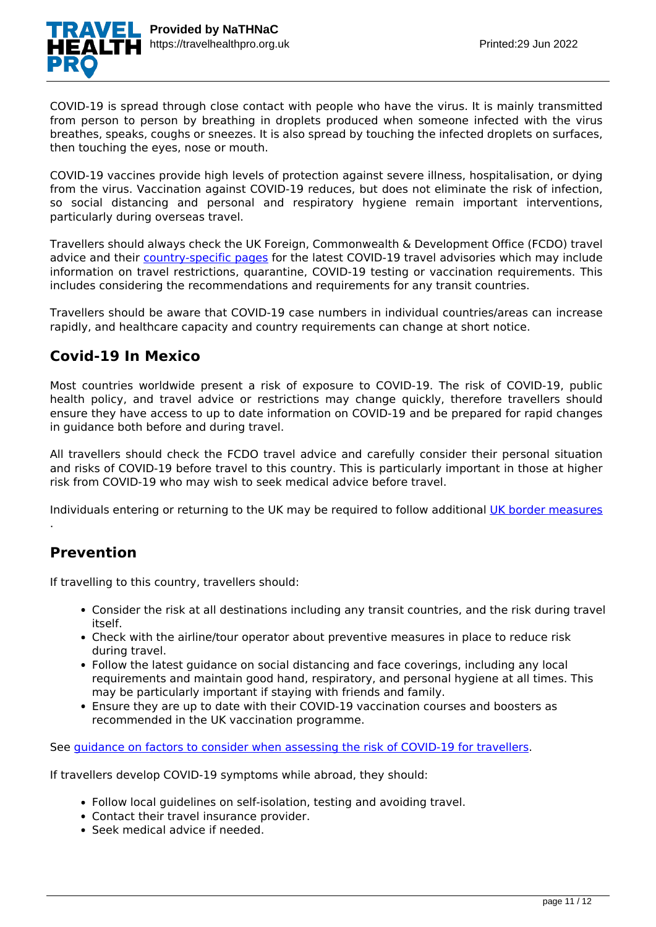

COVID-19 is spread through close contact with people who have the virus. It is mainly transmitted from person to person by breathing in droplets produced when someone infected with the virus breathes, speaks, coughs or sneezes. It is also spread by touching the infected droplets on surfaces, then touching the eyes, nose or mouth.

COVID-19 vaccines provide high levels of protection against severe illness, hospitalisation, or dying from the virus. Vaccination against COVID-19 reduces, but does not eliminate the risk of infection, so social distancing and personal and respiratory hygiene remain important interventions, particularly during overseas travel.

Travellers should always check the UK Foreign, Commonwealth & Development Office (FCDO) travel advice and their [country-specific pages](https://www.gov.uk/foreign-travel-advice) for the latest COVID-19 travel advisories which may include information on travel restrictions, quarantine, COVID-19 testing or vaccination requirements. This includes considering the recommendations and requirements for any transit countries.

Travellers should be aware that COVID-19 case numbers in individual countries/areas can increase rapidly, and healthcare capacity and country requirements can change at short notice.

## **Covid-19 In Mexico**

Most countries worldwide present a risk of exposure to COVID-19. The risk of COVID-19, public health policy, and travel advice or restrictions may change quickly, therefore travellers should ensure they have access to up to date information on COVID-19 and be prepared for rapid changes in guidance both before and during travel.

All travellers should check the FCDO travel advice and carefully consider their personal situation and risks of COVID-19 before travel to this country. This is particularly important in those at higher risk from COVID-19 who may wish to seek medical advice before travel.

Individuals entering or returning to the UK may be required to follow additional [UK border measures](https://www.gov.uk/uk-border-control)

## **Prevention**

.

If travelling to this country, travellers should:

- Consider the risk at all destinations including any transit countries, and the risk during travel itself.
- Check with the airline/tour operator about preventive measures in place to reduce risk during travel.
- Follow the latest guidance on social distancing and face coverings, including any local requirements and maintain good hand, respiratory, and personal hygiene at all times. This may be particularly important if staying with friends and family.
- Ensure they are up to date with their COVID-19 vaccination courses and boosters as recommended in the UK vaccination programme.

See [guidance on factors to consider when assessing the risk of COVID-19 for travellers](https://travelhealthpro.org.uk/factsheet/93/covid-19-risk-assessment).

If travellers develop COVID-19 symptoms while abroad, they should:

- Follow local guidelines on self-isolation, testing and avoiding travel.
- Contact their travel insurance provider.
- Seek medical advice if needed.